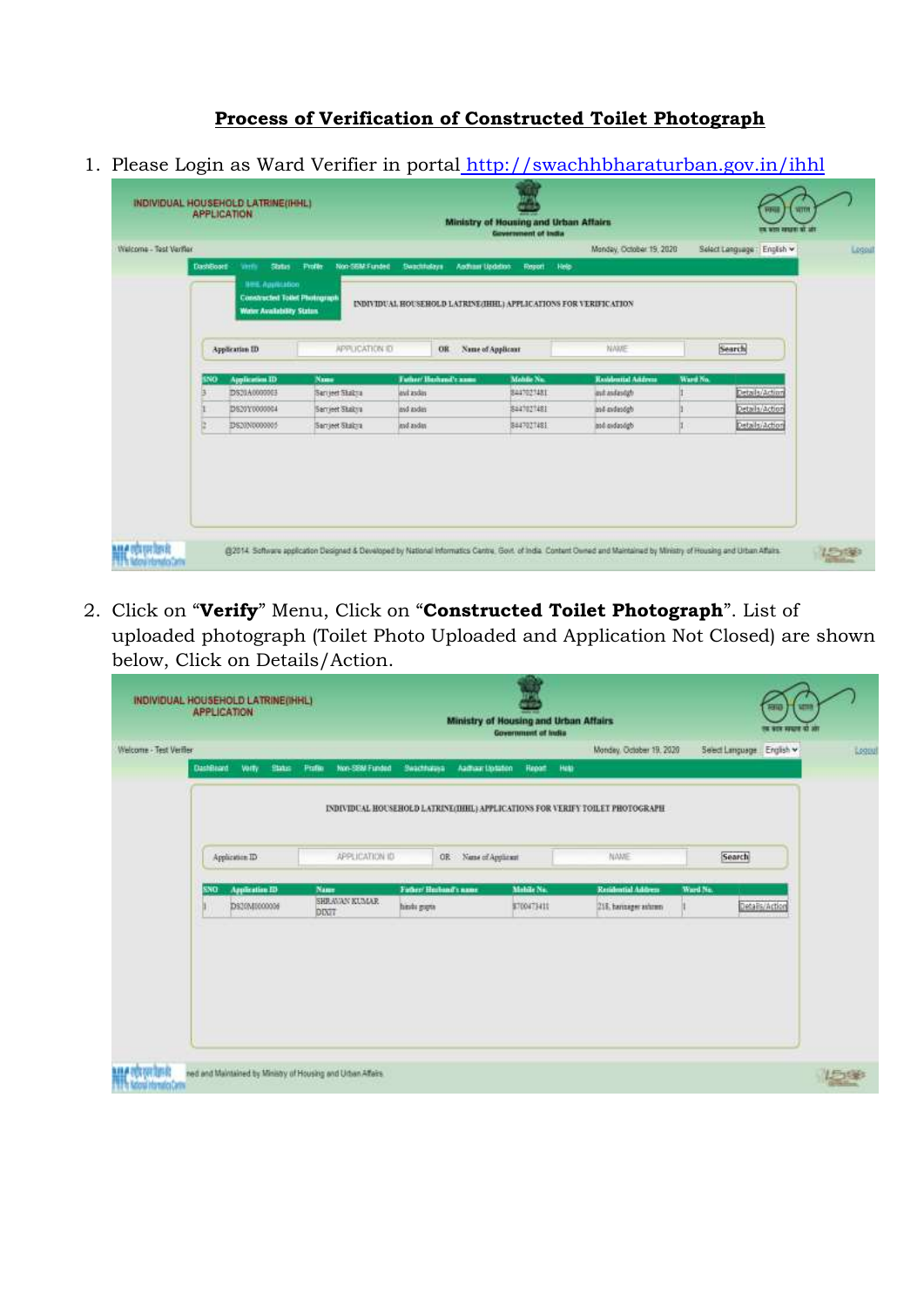## **Process of Verification of Constructed Toilet Photograph**

1. Please Login as Ward Verifier in portal <http://swachhbharaturban.gov.in/ihhl>

| Welcome - Test Verfler<br><b>DashBoont</b><br><b>Status</b><br><b>Frofile</b><br>Vertic<br><b>NEE Application</b><br><b>Constructed Totel Photograph</b><br><b>Water Availability States</b><br>Application ID<br><b>Application ID</b><br>Name<br>LNO.<br>DS20A0000001<br>Sarried States<br>DS20Y0000004<br>Sarrieet Shakya<br>IDS20N0000005<br>Sarrieet Shakra | Non-SEM-Funded<br>Suachtulays<br>APPUCATION ID<br>OR<br><b>Tuther/Bushand's name</b><br>levi asder | <b>Andham Updation:</b><br>Report<br>INDIVIDUAL HOUSEHOLD LATRINE (IHHL) APPLICATIONS FOR VERIFICATION<br>Name of Applicant<br>Mohile Nu.<br>8447027481 | Monday, October 19, 2020<br>Help<br>NAME<br><b>Rasidential Address</b> | Select Language : English w<br>Search<br>Ward No. |  |
|------------------------------------------------------------------------------------------------------------------------------------------------------------------------------------------------------------------------------------------------------------------------------------------------------------------------------------------------------------------|----------------------------------------------------------------------------------------------------|---------------------------------------------------------------------------------------------------------------------------------------------------------|------------------------------------------------------------------------|---------------------------------------------------|--|
|                                                                                                                                                                                                                                                                                                                                                                  |                                                                                                    |                                                                                                                                                         |                                                                        |                                                   |  |
|                                                                                                                                                                                                                                                                                                                                                                  |                                                                                                    |                                                                                                                                                         |                                                                        |                                                   |  |
|                                                                                                                                                                                                                                                                                                                                                                  |                                                                                                    |                                                                                                                                                         |                                                                        |                                                   |  |
|                                                                                                                                                                                                                                                                                                                                                                  |                                                                                                    |                                                                                                                                                         |                                                                        |                                                   |  |
|                                                                                                                                                                                                                                                                                                                                                                  |                                                                                                    |                                                                                                                                                         |                                                                        |                                                   |  |
|                                                                                                                                                                                                                                                                                                                                                                  |                                                                                                    |                                                                                                                                                         | and and and gb                                                         | Details/Action                                    |  |
|                                                                                                                                                                                                                                                                                                                                                                  | and ander                                                                                          | Saa1021481                                                                                                                                              | and avdendab                                                           | Details/Action                                    |  |
|                                                                                                                                                                                                                                                                                                                                                                  | ind audan                                                                                          | 8447027481                                                                                                                                              | and aidandgb                                                           | Details/Action                                    |  |
|                                                                                                                                                                                                                                                                                                                                                                  |                                                                                                    |                                                                                                                                                         |                                                                        |                                                   |  |

2. Click on "**Verify**" Menu, Click on "**Constructed Toilet Photograph**". List of uploaded photograph (Toilet Photo Uploaded and Application Not Closed) are shown below, Click on Details/Action.

|                                  |                       |                          |             |                          |                      | Monday, October 19, 2020                                                     | Seed Language English v |
|----------------------------------|-----------------------|--------------------------|-------------|--------------------------|----------------------|------------------------------------------------------------------------------|-------------------------|
| <b>DashBaard</b><br><b>Voity</b> | <b>Status</b>         | Non-SEM Funded<br>Police | Swachtsausa | Aadhaar Uptaten          | Help<br><b>Hepat</b> |                                                                              |                         |
|                                  |                       |                          |             |                          |                      | INDIVIDUAL HOUSEHOLD LATRINE(IHHL) APPLICATIONS FOR VERIFY TOILET PHOTOGRAPH |                         |
|                                  |                       |                          |             |                          |                      |                                                                              |                         |
| Application ID                   |                       | APPLICATION ID           |             | Name of Applicant<br>OR: |                      | NAME                                                                         | Search                  |
| sso                              | <b>Application ED</b> | Name                     |             | Father/Husband's name    | Mabile No.           | Residential Address                                                          | Ward No.                |
|                                  | DS30M5000006          | <b>DIX/7</b>             | hinki guya  |                          | 8700473411           | 218. harinager ashroni                                                       | Details/Action          |
|                                  |                       | SHRAVAN KUMAR            |             |                          |                      |                                                                              |                         |
|                                  |                       |                          |             |                          |                      |                                                                              |                         |
|                                  |                       |                          |             |                          |                      |                                                                              |                         |
|                                  |                       |                          |             |                          |                      |                                                                              |                         |
|                                  |                       |                          |             |                          |                      |                                                                              |                         |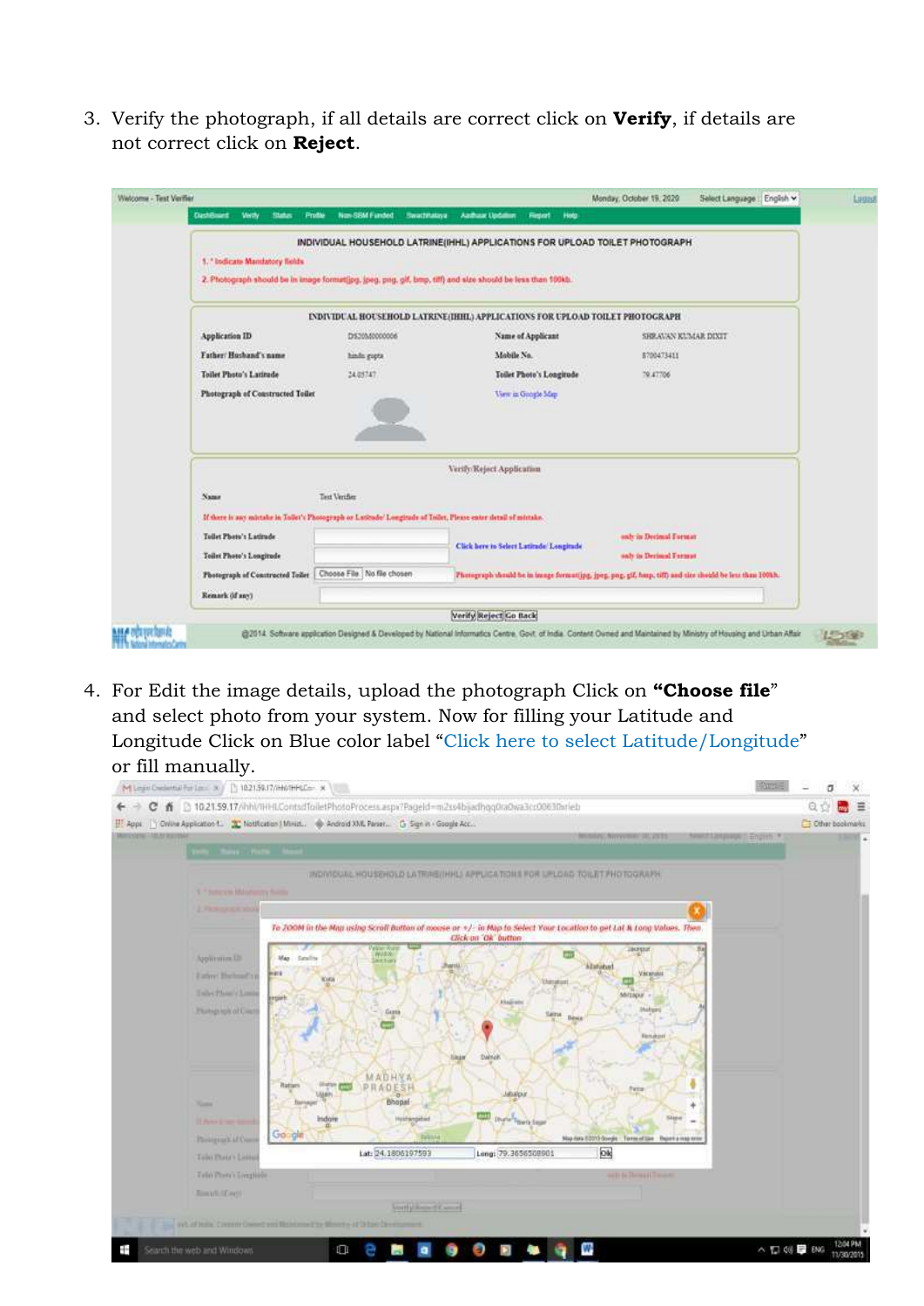3. Verify the photograph, if all details are correct click on **Verify**, if details are not correct click on **Reject**.

|                                  |                                                                                                                  | INDIVIDUAL HOUSEHOLD LATRINE(IHHL) APPLICATIONS FOR UPLOAD TOILET PHOTOGRAPH                                |                                                                                                          |
|----------------------------------|------------------------------------------------------------------------------------------------------------------|-------------------------------------------------------------------------------------------------------------|----------------------------------------------------------------------------------------------------------|
| 5. 'Indicate Mandatory Rolds     |                                                                                                                  |                                                                                                             |                                                                                                          |
|                                  |                                                                                                                  | 2. Photograph should be in image formattips, ipeg, png, gif, bmp, tiff) and size should be less than 100kb. |                                                                                                          |
|                                  |                                                                                                                  |                                                                                                             |                                                                                                          |
|                                  |                                                                                                                  | <b>INDIVIDUAL HOUSEHOLD LATRINE (IHHL) APPLICATIONS FOR UPLOAD TOILET PHOTOGRAPH</b>                        |                                                                                                          |
| Application ID                   | D530M0000006                                                                                                     | Name of Applicant                                                                                           | SHRAVAN KUMAR DIXIT                                                                                      |
| Father Husband's name            | hinds gopts                                                                                                      | Mobile No.                                                                                                  | 8700473411                                                                                               |
| Toilet Photo's Latitude          | 24.03747                                                                                                         | Toilet Photo's Longitude                                                                                    | 79,47706                                                                                                 |
| Photograph of Constructed Toilet |                                                                                                                  | View in Grouple Map.                                                                                        |                                                                                                          |
|                                  |                                                                                                                  |                                                                                                             |                                                                                                          |
|                                  |                                                                                                                  | Verify/Reject Application                                                                                   |                                                                                                          |
|                                  |                                                                                                                  |                                                                                                             |                                                                                                          |
| Name.                            | Text Verifier                                                                                                    |                                                                                                             |                                                                                                          |
|                                  | If there is any mintake in Tollet's Photograph or Latitude' Longitude of Toilet, Please enter detail of mintake. |                                                                                                             |                                                                                                          |
| Toilet Photo's Latitude          |                                                                                                                  | Click here to Select Latitude Longitude                                                                     | saly in Derimal Format                                                                                   |
| Toilet Photo's Longitude         |                                                                                                                  |                                                                                                             | only in Decimal Format.                                                                                  |
| Photograph of Constructed Toilet | Choose File No file chosen                                                                                       |                                                                                                             | Photograph should be in image formating, jpeg, pag, gif, hasp, tiff) and size should be less than 100kh. |

4. For Edit the image details, upload the photograph Click on **"Choose file**" and select photo from your system. Now for filling your Latitude and Longitude Click on Blue color label "Click here to select Latitude/Longitude"

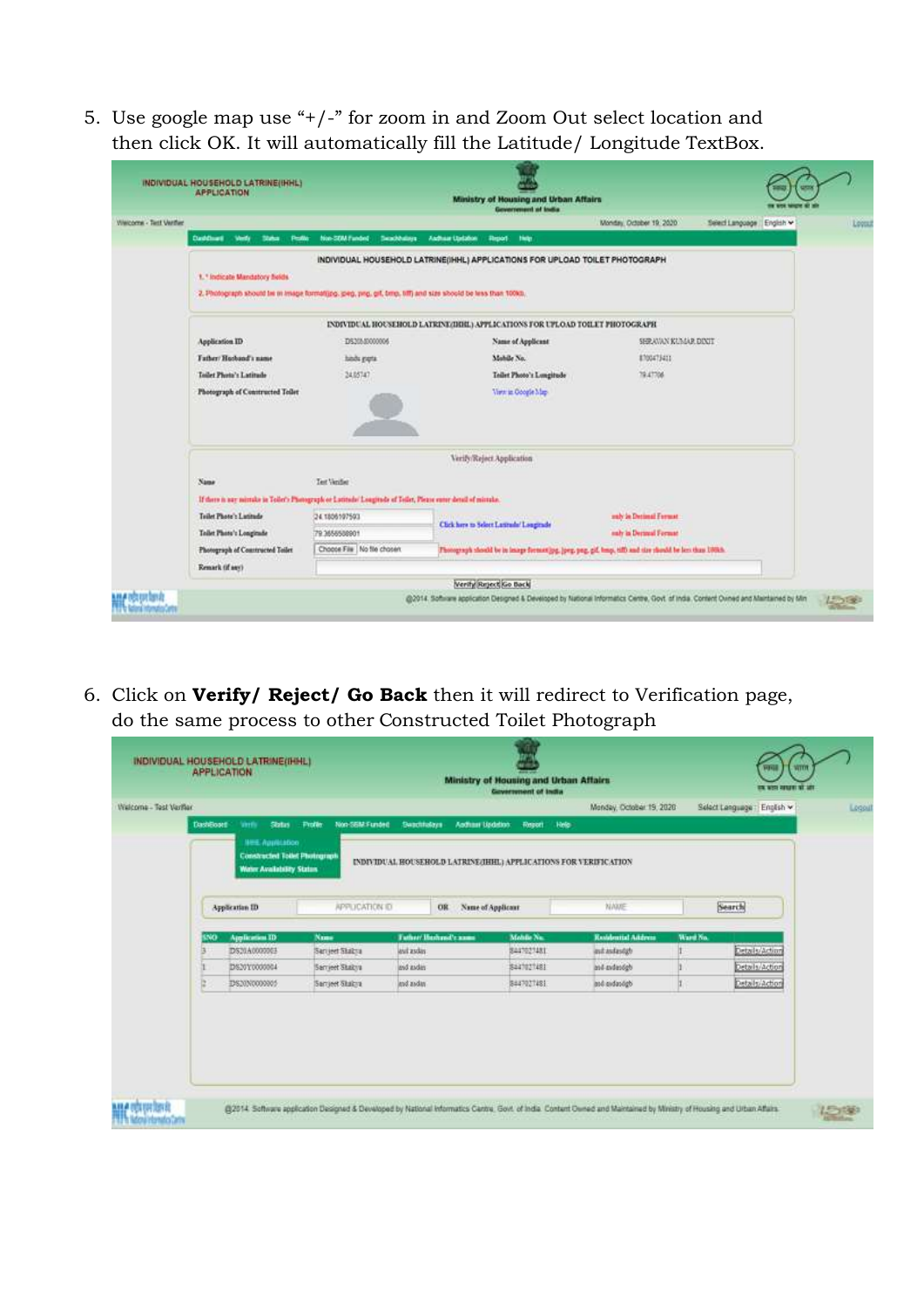5. Use google map use "+/-" for zoom in and Zoom Out select location and then click OK. It will automatically fill the Latitude/ Longitude TextBox.

|                                               |                                                                                                                  | Ministry of Housing and Urban Affairs<br>Generatement of India               |                                                                                                          |
|-----------------------------------------------|------------------------------------------------------------------------------------------------------------------|------------------------------------------------------------------------------|----------------------------------------------------------------------------------------------------------|
| Vileicome - Test Verther                      |                                                                                                                  |                                                                              | Monday, October 19, 2020<br>Select Language English ~                                                    |
| <b>Carddhurd</b><br>Verbi<br>Status:<br>Peath | Non-SOM Funded<br>Seabbalays                                                                                     | Antheir Unisher<br><b>Report</b><br><b>Hotel</b>                             |                                                                                                          |
|                                               |                                                                                                                  | INDIVIDUAL HOUSEHOLD LATRINE(IHHL) APPLICATIONS FOR UPLOAD TOILET PHOTOGRAPH |                                                                                                          |
| 1. * Indicate Mandatory fields                |                                                                                                                  |                                                                              |                                                                                                          |
|                                               | 2. Photograph shound be in image formating, greg, ping, gill, omp, tiff) and size should be less than 100kb.     |                                                                              |                                                                                                          |
|                                               |                                                                                                                  | INDIVIDUAL HOUSEHOLD LATRINE/IHHL) APPLICATIONS FOR UPLOAD TOILET PHOTOGRAPH |                                                                                                          |
| Application ID                                | DS30580000006                                                                                                    | Name of Applicant                                                            | SHRAVAN KUMAR DIXIT                                                                                      |
| <b>Tather/Husband's name</b>                  | hinds gapta                                                                                                      | Mobile No.                                                                   | 8700475411                                                                                               |
| Toilet Photo's Latitude                       | 34.05747                                                                                                         | Teilet Photo's Longitude                                                     | 79.47706                                                                                                 |
| Photograph of Constructed Toilet              |                                                                                                                  | View in Google Map                                                           |                                                                                                          |
|                                               |                                                                                                                  |                                                                              |                                                                                                          |
|                                               |                                                                                                                  |                                                                              |                                                                                                          |
|                                               |                                                                                                                  | Verify/Reject Application                                                    |                                                                                                          |
| Name                                          | Test Venifier                                                                                                    |                                                                              |                                                                                                          |
|                                               | If there is nor mirtake in Tollet's Photograph or Latitude' Longitude of Tollet, Please enter detail of mirtake. |                                                                              |                                                                                                          |
| Toilet Photo's Latitude                       | 24.1806107503                                                                                                    | Click here to Select Latitude' Longitude                                     | andy in Decimal Format.                                                                                  |
| Tailet Photo's Longitude                      | 79.3656508901                                                                                                    |                                                                              | suly in Derival Fermat                                                                                   |
| Photograph of Countracted Toilet              | Choose File No file chosen                                                                                       |                                                                              | Photograph should be in image formating, joeg, pag, gif, leng, tiff) and size should be last thus 19988. |
|                                               |                                                                                                                  |                                                                              |                                                                                                          |

6. Click on **Verify/ Reject/ Go Back** then it will redirect to Verification page, do the same process to other Constructed Toilet Photograph

| Walcome - Test Verfler<br><b>DashBoard</b> | <b>Status</b><br><b>Verty</b>                                                                     | <b>Frofile</b><br>Non-SEM-Funded | Suschfolove<br>Andham Updation:                                  | Report<br>Help    | Monday, October 19, 2020   |          | Select Language : English w |
|--------------------------------------------|---------------------------------------------------------------------------------------------------|----------------------------------|------------------------------------------------------------------|-------------------|----------------------------|----------|-----------------------------|
|                                            | <b>NEE Application</b><br><b>Constructed Totel Photograph</b><br><b>Water Availability Status</b> |                                  | INDIVIDUAL HOUSEHOLD LATRINE (HHL) APPLICATIONS FOR VERIFICATION |                   |                            |          |                             |
|                                            |                                                                                                   |                                  |                                                                  |                   |                            |          |                             |
|                                            | Application ID                                                                                    | APPUCATION ID                    | OR                                                               | Name of Applicant | NAME                       |          | Search                      |
| inio                                       | <b>Application ID</b>                                                                             | Name                             | <b>Tuther/Herbaud's name</b>                                     | Mohile Nu.        | <b>Residential Address</b> | Ward No. |                             |
|                                            | DS20A0000001                                                                                      | San jeet Skabsa                  | avit asder                                                       | 8447027481        | and and and gb             |          | Details/Action              |
|                                            | DS20Y0000004                                                                                      | Sarriest Stakya                  | and ander                                                        | Saa1021481        | and avdendgh               |          | Details/Action              |
|                                            | DS20N0000001                                                                                      | Sarrjeet Shikra                  | ind aiday                                                        | 8447027481        | and aid and ghi            |          | Details/Action              |
|                                            |                                                                                                   |                                  |                                                                  |                   |                            |          |                             |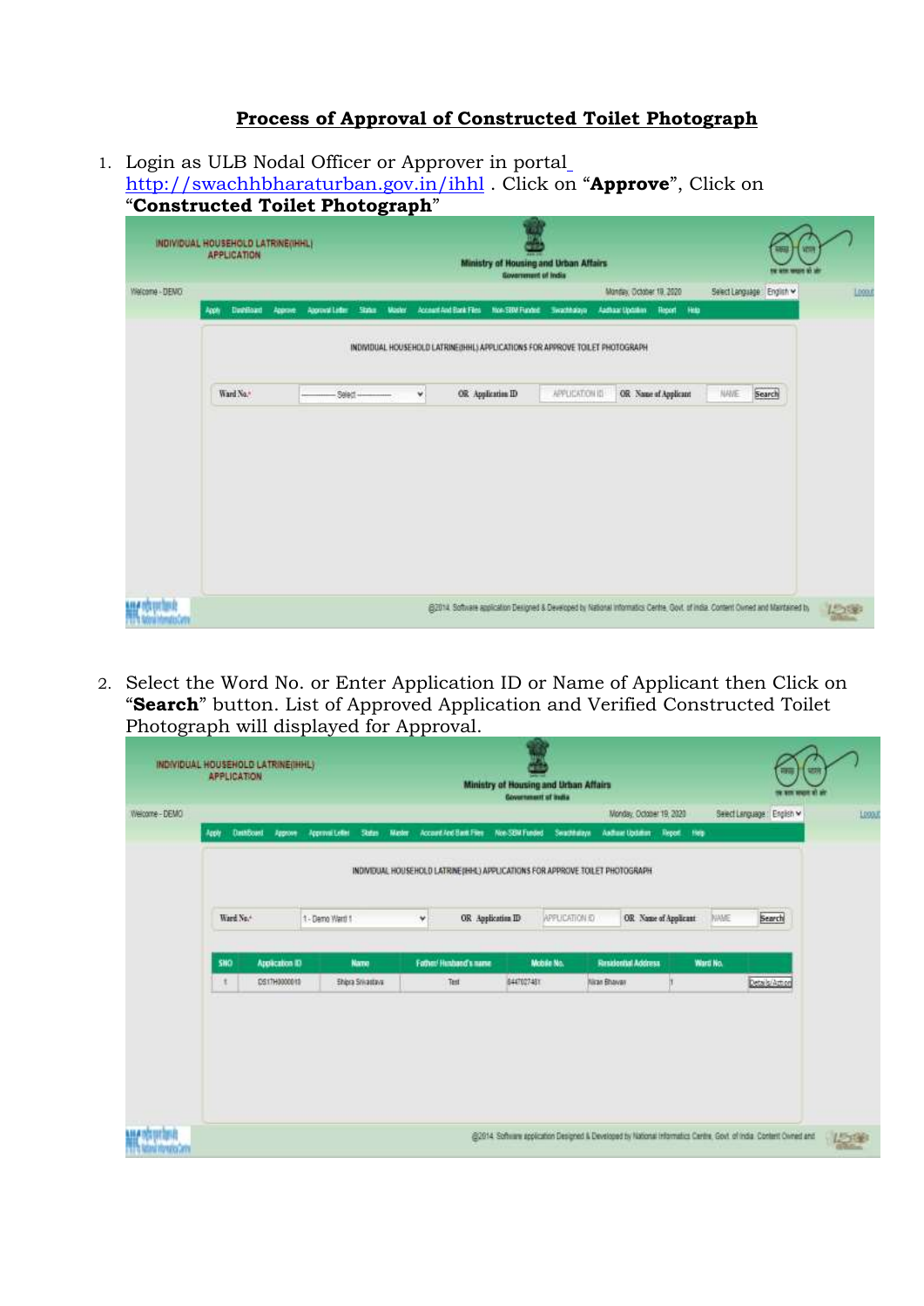## **Process of Approval of Constructed Toilet Photograph**

1. Login as ULB Nodal Officer or Approver in porta[l](http://swachhbharaturban.gov.in/ihhl) <http://swachhbharaturban.gov.in/ihhl> . Click on "**Approve**", Click on "**Constructed Toilet Photograph**"

| Welcome - DENG | Constructed Tonet Fhotograph<br>INDIVIDUAL HOUSEHOLD LATRINE(IHHL)<br>APPLICATION |                                   |               | Ministry of Housing and Urban Affairs<br><b>Government</b> of India           |                | Montex October 19, 2020      | <b>YDS</b><br>Select Language : English w                                                                                         | Logat |
|----------------|-----------------------------------------------------------------------------------|-----------------------------------|---------------|-------------------------------------------------------------------------------|----------------|------------------------------|-----------------------------------------------------------------------------------------------------------------------------------|-------|
|                | Davidound<br>Approve.<br>Apply                                                    | Sizier.<br><b>Abortval Letter</b> | <b>Master</b> | Account And Bank Films Non-SBM Funded                                         | Swachhalaya    | Audhaartipositon Report Help |                                                                                                                                   |       |
|                |                                                                                   |                                   |               | INDIVIDUAL HOUSEHOLD LATRINE(IHHL) APPLICATIONS FOR APPROVE TOILET PHOTOGRAPH |                |                              |                                                                                                                                   |       |
|                | Ward No."                                                                         | Select-                           | ٧             | OR Application ID                                                             | APPLICATION ID | OR Name of Applicant         | NAVE<br>Search                                                                                                                    |       |
|                |                                                                                   |                                   |               |                                                                               |                |                              |                                                                                                                                   |       |
|                |                                                                                   |                                   |               |                                                                               |                |                              |                                                                                                                                   |       |
|                |                                                                                   |                                   |               |                                                                               |                |                              |                                                                                                                                   |       |
|                |                                                                                   |                                   |               |                                                                               |                |                              |                                                                                                                                   |       |
|                |                                                                                   |                                   |               |                                                                               |                |                              |                                                                                                                                   |       |
|                |                                                                                   |                                   |               |                                                                               |                |                              | (EDITAL Software application Designed & Developed by National Informatics Centre, Oost, of India. Content Owned and Maintained by |       |

2. Select the Word No. or Enter Application ID or Name of Applicant then Click on "**Search**" button. List of Approved Application and Verified Constructed Toilet Photograph will displayed for Approval.

|                | INDIVIDUAL HOUSEHOLD LATRINE(IHHL)<br><b>APPLICATION</b> |                                         |                                                                               |                        | Ministry of Housing and Urban Affairs<br><b>Covernment of India</b> |                |                                             |                      |             | m<br>साम<br>re ann anunt at an                                                                                    |       |
|----------------|----------------------------------------------------------|-----------------------------------------|-------------------------------------------------------------------------------|------------------------|---------------------------------------------------------------------|----------------|---------------------------------------------|----------------------|-------------|-------------------------------------------------------------------------------------------------------------------|-------|
| Welcome - DEMO | DataBoard<br>Apple<br>Approve                            | <b>Approval Letter</b><br><b>States</b> | Master                                                                        | Account And Bank Files | Non-SEM Funded                                                      | Seathbays      | Monday, October 19, 2020<br>Anthuar Updatum | Report.<br>1989      |             | Select Language: English w                                                                                        | LDOD. |
|                |                                                          |                                         | INDIVIDUAL HOUSEHOLD LATRINE(IHHL) APPLICATIONS FOR APPROVE TOILET PHOTOGRAPH |                        |                                                                     |                |                                             |                      |             |                                                                                                                   |       |
|                | Ward No.4                                                | 1 - Demo Warti 1                        | ٧                                                                             | OR Application ID      |                                                                     | APPLICATION EX |                                             | OR Name of Applicant | <b>NAME</b> | Search                                                                                                            |       |
|                | <b>SHO</b><br>Application ID                             | <b>Name</b>                             |                                                                               | Father Husband's name  | Mobile No.                                                          |                | <b>Residential Address</b>                  |                      | Ward No.    |                                                                                                                   |       |
|                | DS17H0000019<br>÷                                        | <b>Shipra Srivattove</b>                |                                                                               | Test                   | 6447027481                                                          |                | Nican Bhawan                                |                      |             | Details/Action                                                                                                    |       |
|                |                                                          |                                         |                                                                               |                        |                                                                     |                |                                             |                      |             |                                                                                                                   |       |
|                |                                                          |                                         |                                                                               |                        |                                                                     |                |                                             |                      |             |                                                                                                                   |       |
| <b>UGAD</b>    |                                                          |                                         |                                                                               |                        |                                                                     |                |                                             |                      |             | @2014 Software application Designed & Developed by National Information Centre, Gost, of India, Content Owned and |       |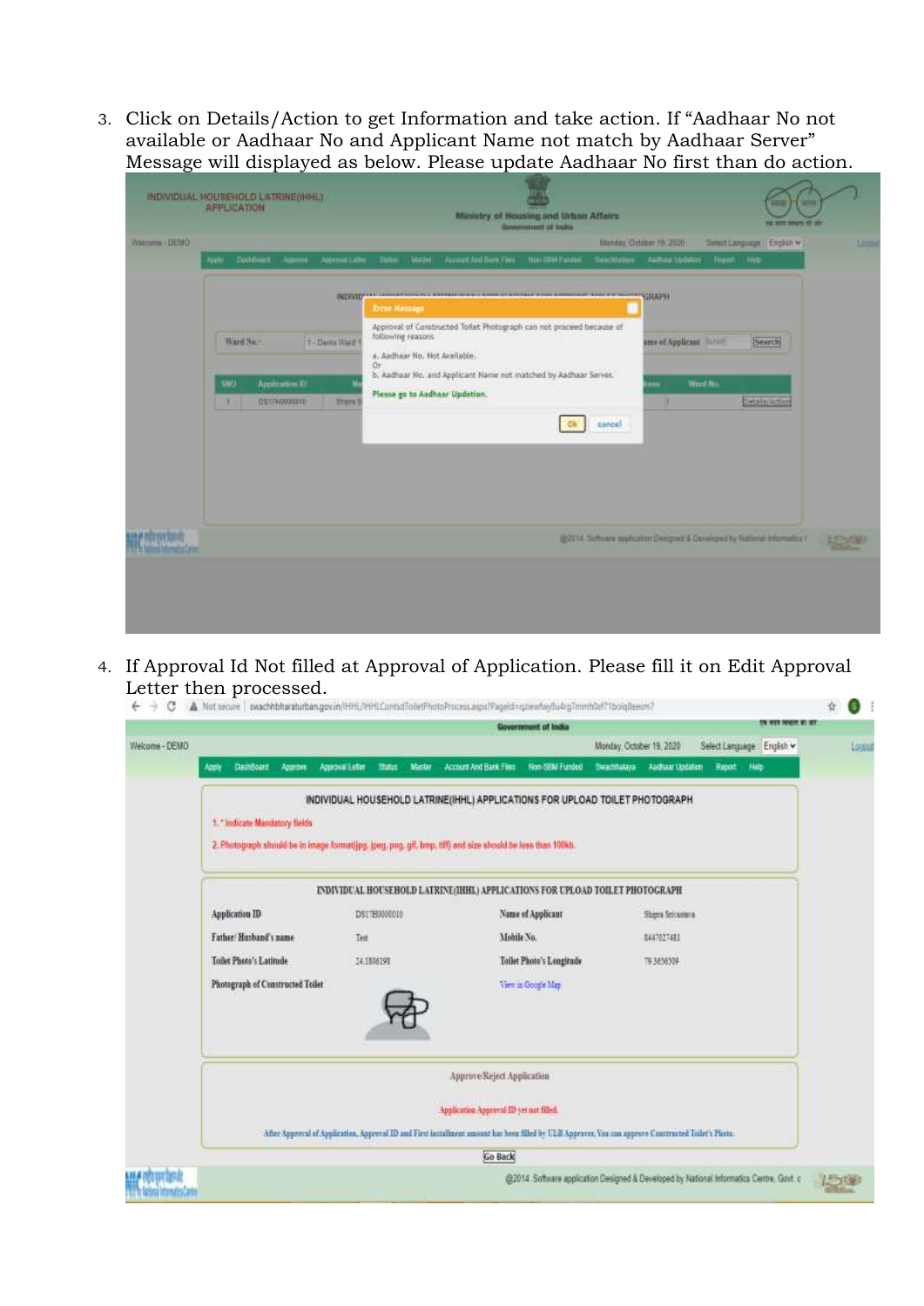3. Click on Details/Action to get Information and take action. If "Aadhaar No not available or Aadhaar No and Applicant Name not match by Aadhaar Server" Message will displayed as below. Please update Aadhaar No first than do action.

|              | INDIVIDUAL HOUSEHOLD LATRINE(NOIL)<br><b>APPLICATION</b>                                       | Ministry of Housing and Urban Affairs<br><b><i>HE SHE ISSUE 'IT IT!</i></b><br><b>Government of India</b>                                                                                                                           |       |
|--------------|------------------------------------------------------------------------------------------------|-------------------------------------------------------------------------------------------------------------------------------------------------------------------------------------------------------------------------------------|-------|
| Walterm DEND | Dolffmid Approve Approval after these                                                          | Monday Oxfober 19, 2020<br>Select Language English V<br>Made:<br>Accord And Now Yes<br>The 60M Forder - Telectristays Aarthuis Updates - Friedri High-                                                                              | Longy |
|              | <b>Hyple</b>                                                                                   | - NEW PARTIES - после полно на село в полно на село на полно на село на село на полно на село на село на село н<br><b>Error Hittauge</b><br>Approval of Constructed Toilet Photograph can not proceed because of                    |       |
|              | Ward No."<br>T-Demo Ward<br><b>SNO</b><br>Аррахаевич III<br>051740000110<br><b>SHARE!</b><br>ш | following reasons<br>ame of Applicam NAME<br>Search<br>a. Anthaar No. Not Available.<br>Or:<br>b. Aadhaar No. and Applicant Name not matched by Aadhaar Server.<br>Word No.<br><br>Please go to Aadhaar Updation.<br><b>THOMAGO</b> |       |
|              |                                                                                                | cancel                                                                                                                                                                                                                              |       |
|              |                                                                                                | @2014 Schiars application Designed & Developed by National Information (                                                                                                                                                            |       |
|              |                                                                                                |                                                                                                                                                                                                                                     |       |

4. If Approval Id Not filled at Approval of Application. Please fill it on Edit Approval Letter then processed.

| ⋺<br>С         | A Not secure   swachhbharaturban.gov.in/iHHL/tHHLContsdToiletPhotoProcess.aspx?PageId=q.trewtwyBu4rg7mmhDdf71bolgBeesm7 |                                                                                                                                                      |                       |                                                                                          |                          |                   |                             |                     |  | 5.    |  |  |
|----------------|-------------------------------------------------------------------------------------------------------------------------|------------------------------------------------------------------------------------------------------------------------------------------------------|-----------------------|------------------------------------------------------------------------------------------|--------------------------|-------------------|-----------------------------|---------------------|--|-------|--|--|
|                |                                                                                                                         |                                                                                                                                                      |                       | Government of India                                                                      |                          |                   |                             | THE REPORT OF STATE |  |       |  |  |
| Welcome - DEMO |                                                                                                                         |                                                                                                                                                      |                       |                                                                                          | Monday, October 19, 2020 |                   | Select Language : English v |                     |  | Logue |  |  |
|                | DashBoard<br>Atomn.<br>Apply                                                                                            | Approval Later:<br>Siztes.<br><b>Master</b>                                                                                                          | Account And Bank Film | Non-SEM-Funded                                                                           | Swachhalaya              | Audiant Abdation  | Hab<br><b>Report</b>        |                     |  |       |  |  |
|                |                                                                                                                         | INDIVIDUAL HOUSEHOLD LATRINE(IHHL) APPLICATIONS FOR UPLOAD TOILET PHOTOGRAPH                                                                         |                       |                                                                                          |                          |                   |                             |                     |  |       |  |  |
|                | 1. "Indicate Mandatory Belds                                                                                            |                                                                                                                                                      |                       |                                                                                          |                          |                   |                             |                     |  |       |  |  |
|                | 2. Photograph should be in image formatting: jpeg. png. gif, bmp. tiff) and size should be less than 100kb.             |                                                                                                                                                      |                       |                                                                                          |                          |                   |                             |                     |  |       |  |  |
|                |                                                                                                                         | ENDIVIDUAL HOUSEHOLD LATRINI (IHHL) APPLICATIONS FOR UPLOAD TOILET PHOTOGRAPH                                                                        |                       |                                                                                          |                          |                   |                             |                     |  |       |  |  |
|                | Application ID                                                                                                          | DSETH0000010                                                                                                                                         |                       | Name of Applicant                                                                        |                          | Stages Societates |                             |                     |  |       |  |  |
|                | Father/Husband's name<br>Mobile No.<br>Test<br>8447027481                                                               |                                                                                                                                                      |                       |                                                                                          |                          |                   |                             |                     |  |       |  |  |
|                | Toilet Photo's Latitude<br>Tailot Photo's Longitude<br>24.1806198<br>79.3656509                                         |                                                                                                                                                      |                       |                                                                                          |                          |                   |                             |                     |  |       |  |  |
|                | Photograph of Constructed Toilet<br>View in Google Map                                                                  |                                                                                                                                                      |                       |                                                                                          |                          |                   |                             |                     |  |       |  |  |
|                |                                                                                                                         |                                                                                                                                                      |                       |                                                                                          |                          |                   |                             |                     |  |       |  |  |
|                | Approve/Reject Application                                                                                              |                                                                                                                                                      |                       |                                                                                          |                          |                   |                             |                     |  |       |  |  |
|                | Application Approval ID yet not filled.                                                                                 |                                                                                                                                                      |                       |                                                                                          |                          |                   |                             |                     |  |       |  |  |
|                |                                                                                                                         | After Approval of Application, Approval ID and First installment amount has been filled by ULB Approver, You can approve Constructed Toilet's Photo. |                       |                                                                                          |                          |                   |                             |                     |  |       |  |  |
|                | Go Back                                                                                                                 |                                                                                                                                                      |                       |                                                                                          |                          |                   |                             |                     |  |       |  |  |
|                |                                                                                                                         |                                                                                                                                                      |                       | @2014 Software application Designed & Developed by National Informatics Centre, Gevt. c. |                          |                   |                             |                     |  |       |  |  |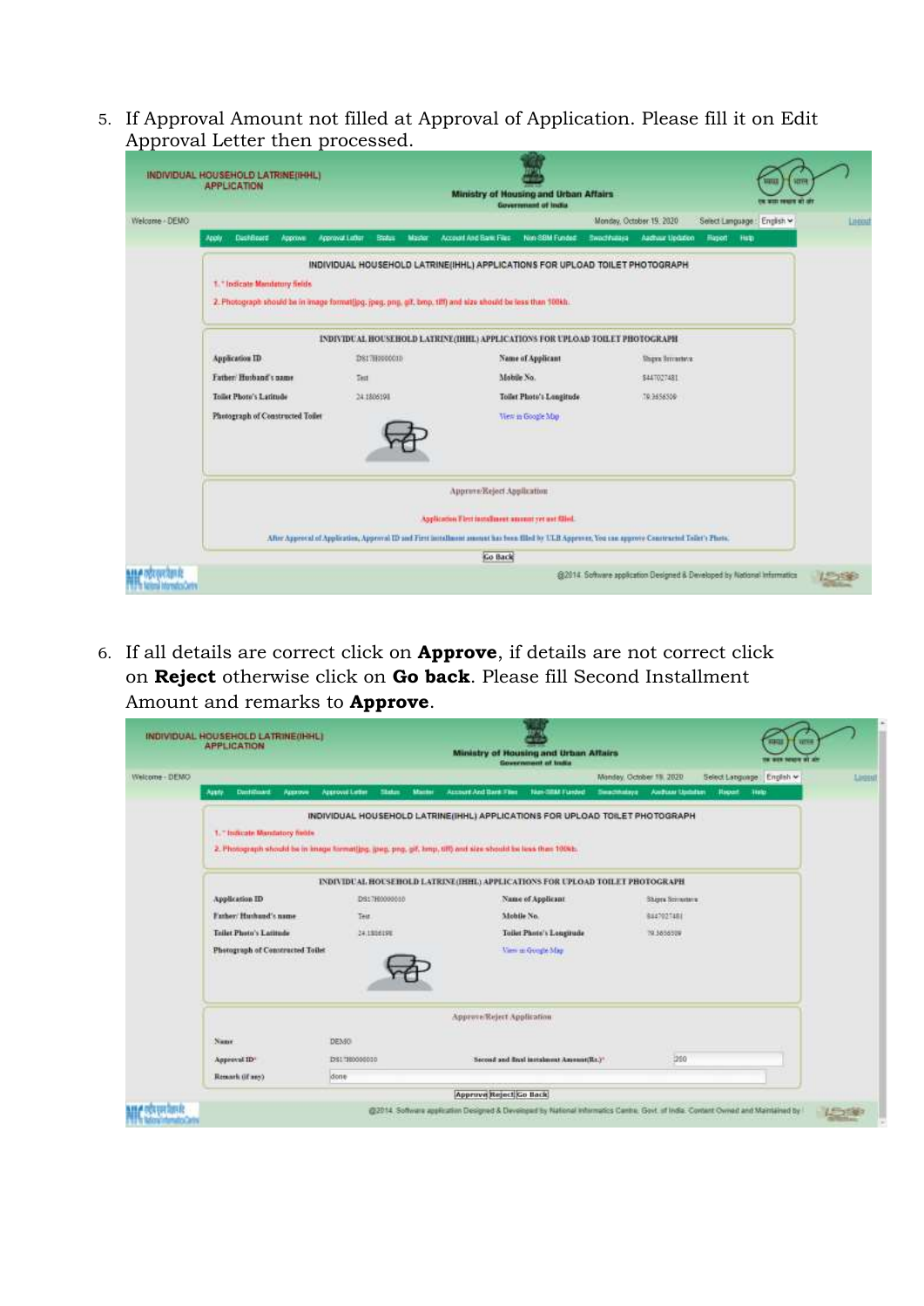5. If Approval Amount not filled at Approval of Application. Please fill it on Edit Approval Letter then processed.

|                | INDIVIDUAL HOUSEHOLD LATRINE(IHHL)<br><b>APPLICATION</b>                                                                                                                                                                      |                                                   | Ministry of Housing and Urban Affairs<br><b>Government of India</b>           |                                      |                                                                          |         |  |  |  |  |  |  |
|----------------|-------------------------------------------------------------------------------------------------------------------------------------------------------------------------------------------------------------------------------|---------------------------------------------------|-------------------------------------------------------------------------------|--------------------------------------|--------------------------------------------------------------------------|---------|--|--|--|--|--|--|
| Welcome - DEMO |                                                                                                                                                                                                                               |                                                   |                                                                               | Monday, October 19, 2020             | Select Language : English v                                              | Lincoln |  |  |  |  |  |  |
|                | Distribute:<br><b>Approves</b><br>ADOV                                                                                                                                                                                        | <b>Approval Latter</b><br><b>Blates</b><br>Master | Non-SBM Fundet:<br>Account And Early Files                                    | <b>Sweddware</b><br>Aachuur LipQaton | Hason!<br>Halp                                                           |         |  |  |  |  |  |  |
|                | INDIVIDUAL HOUSEHOLD LATRINE(IHHL) APPLICATIONS FOR UPLOAD TOILET PHOTOGRAPH<br>1. " Indicate Mandatory fields<br>2. Photograph should be in image format(jpg, jpeg, png, git, bmp, tilt) and size should be less than 100kh. |                                                   |                                                                               |                                      |                                                                          |         |  |  |  |  |  |  |
|                |                                                                                                                                                                                                                               |                                                   | INDIVIDUAL HOUSEHOLD LATRINE (IHHL) APPLICATIONS FOR UPLOAD TOILET PHOTOGRAPH |                                      |                                                                          |         |  |  |  |  |  |  |
|                | Application ID                                                                                                                                                                                                                | DS17H000001D                                      | Name of Applicant                                                             | <b>There Immeters:</b>               |                                                                          |         |  |  |  |  |  |  |
|                | Father/Husband's name                                                                                                                                                                                                         | <b>That</b>                                       | Mobile No.                                                                    | \$447027481                          |                                                                          |         |  |  |  |  |  |  |
|                | Toilet Photo's Latitude                                                                                                                                                                                                       | 24.1806191                                        | Toilet Photo's Longitude                                                      | 19.9656509                           |                                                                          |         |  |  |  |  |  |  |
|                | Photograph of Constructed Toilet<br>View in Google Map                                                                                                                                                                        |                                                   |                                                                               |                                      |                                                                          |         |  |  |  |  |  |  |
|                | Approve/Reject Application                                                                                                                                                                                                    |                                                   |                                                                               |                                      |                                                                          |         |  |  |  |  |  |  |
|                | Application Flint installment amount yet not filled.<br>After Approval of Application, Approval ID and First installment annuat has been filled by ULB Approvas, You can approve Constructed Tollet's Photo.                  |                                                   |                                                                               |                                      |                                                                          |         |  |  |  |  |  |  |
|                |                                                                                                                                                                                                                               |                                                   | <b>Go Back</b>                                                                |                                      |                                                                          |         |  |  |  |  |  |  |
|                |                                                                                                                                                                                                                               |                                                   |                                                                               |                                      | @2014: Software application Designed & Developed by National Information |         |  |  |  |  |  |  |

6. If all details are correct click on **Approve**, if details are not correct click on **Reject** otherwise click on **Go back**. Please fill Second Installment Amount and remarks to **Approve**.

|                                         |                                                   |                                                                                                           | Monday, October 19, 2020<br>Select Language      | English * |
|-----------------------------------------|---------------------------------------------------|-----------------------------------------------------------------------------------------------------------|--------------------------------------------------|-----------|
| Destinant.<br>Assis<br><b>Azzarove:</b> | <b>Azzrovat Letter</b><br>Skatus<br><b>Macher</b> | New-IMM Funded<br><b>Account And Text Firm</b><br>Superinters:                                            | Audian Upbrist<br><b>Report</b><br><b>Timits</b> |           |
|                                         |                                                   | INDIVIDUAL HOUSEHOLD LATRINE(IHHL) APPLICATIONS FOR UPLOAD TOILET PHOTOGRAPH                              |                                                  |           |
| 1. Thulicate Mandatory fields           |                                                   |                                                                                                           |                                                  |           |
|                                         |                                                   | 2. Photograph should be in knage formating, goep, prg, pif, lamp, UR) and size should be less than 100sh. |                                                  |           |
|                                         |                                                   | INDIVIDUAL HOUSEHOLD LATRINE(HHL) APPLICATIONS FOR UPLOAD TOILET PHOTOGRAPH                               |                                                  |           |
| Application ID                          | DS17H0000010                                      | Name of Applicant                                                                                         | Shipra Scionntera                                |           |
| Father/Huthand's name                   | Test                                              | Mobile No.                                                                                                | 8447027481                                       |           |
| <b>Teilet Photo's Latitude</b>          | 24.1806198                                        | Toilet Photo's Longitude                                                                                  | 79.385652W                                       |           |
| Photograph of Constructed Toilet        |                                                   | Varn as Google May                                                                                        |                                                  |           |
|                                         |                                                   |                                                                                                           |                                                  |           |
|                                         |                                                   |                                                                                                           |                                                  |           |
|                                         |                                                   | Approve/Reject Application                                                                                |                                                  |           |
| Name                                    | DEMO                                              |                                                                                                           |                                                  |           |
| Approval ID*                            | DSI 180000010                                     | Second and final instalment Amenant(Re.)*                                                                 | 280                                              |           |
|                                         | done                                              |                                                                                                           |                                                  |           |